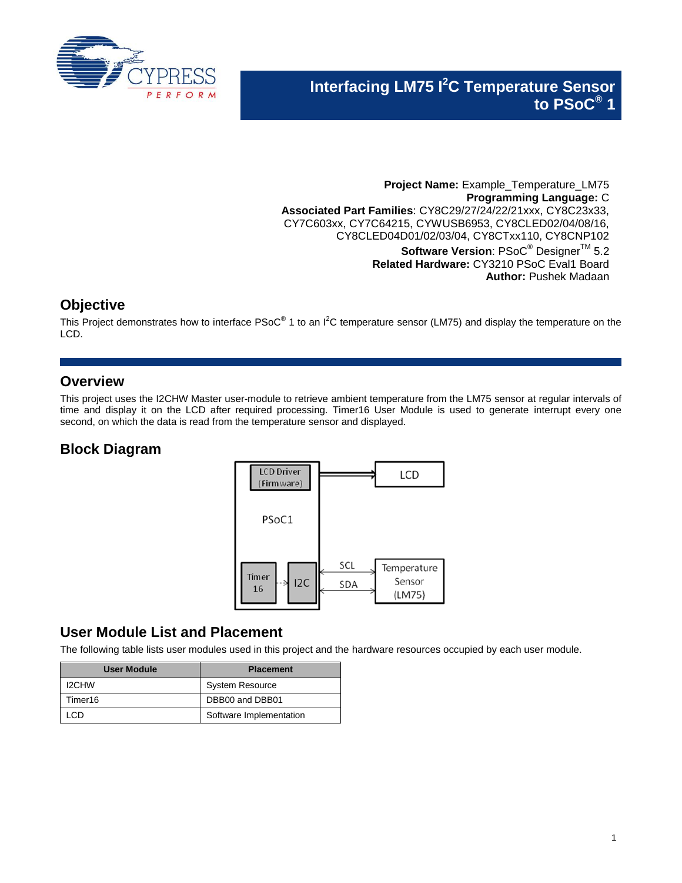

**Project Name:** Example\_Temperature\_LM75 **Programming Language:** C **Associated Part Families**: CY8C29/27/24/22/21xxx, CY8C23x33, CY7C603xx, CY7C64215, CYWUSB6953, CY8CLED02/04/08/16, CY8CLED04D01/02/03/04, CY8CTxx110, CY8CNP102 **Software Version: PSoC<sup>®</sup> Designer<sup>™</sup> 5.2 Related Hardware:** CY3210 PSoC Eval1 Board **Author:** Pushek Madaan

## **Objective**

This Project demonstrates how to interface PSoC<sup>®</sup> 1 to an I<sup>2</sup>C temperature sensor (LM75) and display the temperature on the LCD.

## **Overview**

This project uses the I2CHW Master user-module to retrieve ambient temperature from the LM75 sensor at regular intervals of time and display it on the LCD after required processing. Timer16 User Module is used to generate interrupt every one second, on which the data is read from the temperature sensor and displayed.

# **Block Diagram**



## **User Module List and Placement**

The following table lists user modules used in this project and the hardware resources occupied by each user module.

| User Module  | <b>Placement</b>        |
|--------------|-------------------------|
| <b>I2CHW</b> | <b>System Resource</b>  |
| Timer16      | DBB00 and DBB01         |
| CП           | Software Implementation |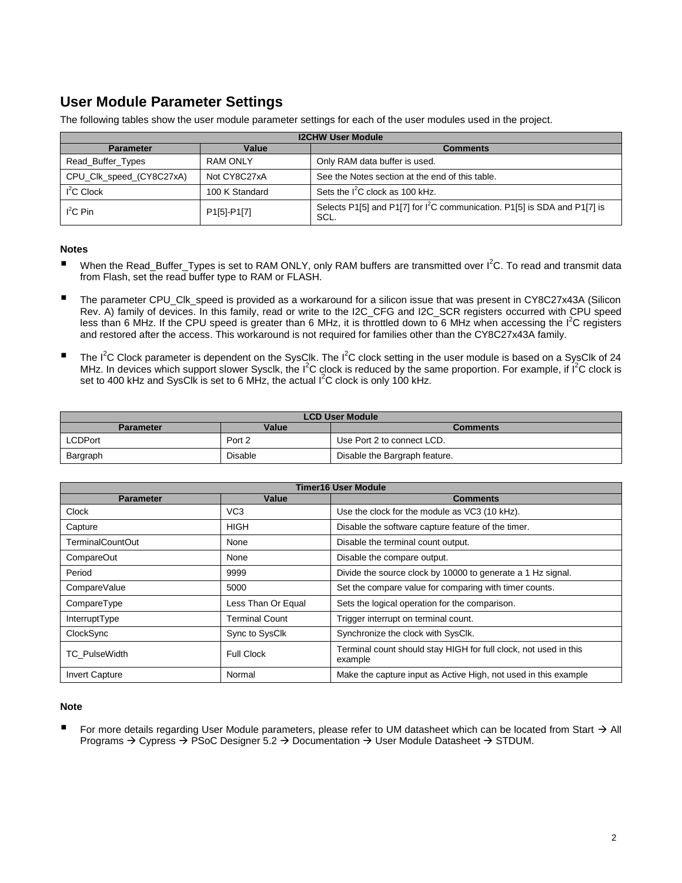# **User Module Parameter Settings**

The following tables show the user module parameter settings for each of the user modules used in the project.

| <b>I2CHW User Module</b> |                |                                                                                               |  |
|--------------------------|----------------|-----------------------------------------------------------------------------------------------|--|
| <b>Parameter</b>         | Value          | <b>Comments</b>                                                                               |  |
| Read_Buffer_Types        | RAM ONLY       | Only RAM data buffer is used.                                                                 |  |
| CPU_Clk_speed_(CY8C27xA) | Not CY8C27xA   | See the Notes section at the end of this table.                                               |  |
| $I2C$ Clock              | 100 K Standard | Sets the $I^2C$ clock as 100 kHz.                                                             |  |
| $I^2C$ Pin               | P1[5]-P1[7]    | Selects P1[5] and P1[7] for I <sup>2</sup> C communication. P1[5] is SDA and P1[7] is<br>SCL. |  |

#### **Notes**

- When the Read\_Buffer\_Types is set to RAM ONLY, only RAM buffers are transmitted over I<sup>2</sup>C. To read and transmit data from Flash, set the read buffer type to RAM or FLASH.
- The parameter CPU\_Clk\_speed is provided as a workaround for a silicon issue that was present in CY8C27x43A (Silicon Rev. A) family of devices. In this family, read or write to the I2C\_CFG and I2C\_SCR registers occurred with CPU speed less than 6 MHz. If the CPU speed is greater than 6 MHz, it is throttled down to 6 MHz when accessing the  $I^2C$  registers and restored after the access. This workaround is not required for families other than the CY8C27x43A family.
- The I<sup>2</sup>C Clock parameter is dependent on the SysClk. The I<sup>2</sup>C clock setting in the user module is based on a SysClk of 24 MHz. In devices which support slower Sysclk, the I<sup>2</sup>C clock is reduced by the same proportion. For example, if I<sup>2</sup>C clock is set to 400 kHz and SysClk is set to 6 MHz, the actual  $1^2$ C clock is only 100 kHz.

| <b>LCD User Module</b> |                |                               |  |
|------------------------|----------------|-------------------------------|--|
| <b>Parameter</b>       | Value          | Comments                      |  |
| LCDPort                | Port 2         | Use Port 2 to connect LCD.    |  |
| Bargraph               | <b>Disable</b> | Disable the Bargraph feature. |  |

| <b>Timer16 User Module</b> |                    |                                                                             |  |
|----------------------------|--------------------|-----------------------------------------------------------------------------|--|
| <b>Parameter</b>           | Value              | <b>Comments</b>                                                             |  |
| Clock                      | VC <sub>3</sub>    | Use the clock for the module as VC3 (10 kHz).                               |  |
| Capture                    | HIGH               | Disable the software capture feature of the timer.                          |  |
| <b>TerminalCountOut</b>    | None               | Disable the terminal count output.                                          |  |
| <b>CompareOut</b>          | None               | Disable the compare output.                                                 |  |
| Period                     | 9999               | Divide the source clock by 10000 to generate a 1 Hz signal.                 |  |
| CompareValue               | 5000               | Set the compare value for comparing with timer counts.                      |  |
| CompareType                | Less Than Or Equal | Sets the logical operation for the comparison.                              |  |
| InterruptType              | Terminal Count     | Trigger interrupt on terminal count.                                        |  |
| ClockSync                  | Sync to SysClk     | Synchronize the clock with SysClk.                                          |  |
| <b>TC</b> PulseWidth       | <b>Full Clock</b>  | Terminal count should stay HIGH for full clock, not used in this<br>example |  |
| <b>Invert Capture</b>      | Normal             | Make the capture input as Active High, not used in this example             |  |

#### **Note**

For more details regarding User Module parameters, please refer to UM datasheet which can be located from Start  $\rightarrow$  All Programs  $\rightarrow$  Cypress  $\rightarrow$  PSoC Designer 5.2  $\rightarrow$  Documentation  $\rightarrow$  User Module Datasheet  $\rightarrow$  STDUM.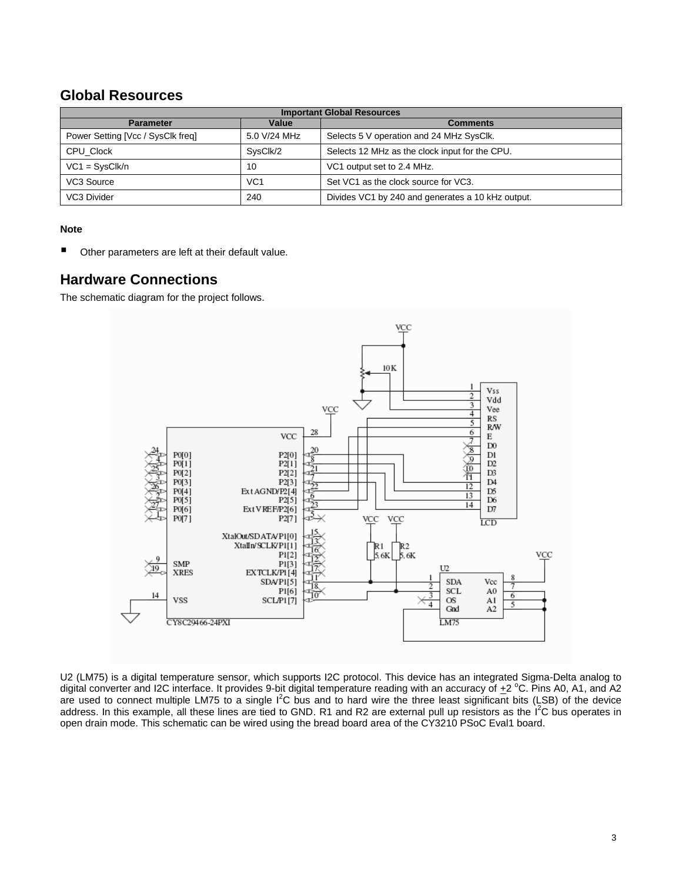### **Global Resources**

| <b>Important Global Resources</b> |                 |                                                   |  |
|-----------------------------------|-----------------|---------------------------------------------------|--|
| <b>Parameter</b>                  | Value           | <b>Comments</b>                                   |  |
| Power Setting [Vcc / SysClk freq] | 5.0 V/24 MHz    | Selects 5 V operation and 24 MHz SysClk.          |  |
| CPU Clock                         | SvsClk/2        | Selects 12 MHz as the clock input for the CPU.    |  |
| $VC1 = SysClk/n$                  | 10              | VC1 output set to 2.4 MHz.                        |  |
| VC3 Source                        | VC <sub>1</sub> | Set VC1 as the clock source for VC3.              |  |
| VC3 Divider                       | 240             | Divides VC1 by 240 and generates a 10 kHz output. |  |

#### **Note**

■ Other parameters are left at their default value.

### **Hardware Connections**

The schematic diagram for the project follows.



U2 (LM75) is a digital temperature sensor, which supports I2C protocol. This device has an integrated Sigma-Delta analog to digital converter and I2C interface. It provides 9-bit digital temperature reading with an accuracy of  $+2$  °C. Pins A0, A1, and A2 are used to connect multiple LM75 to a single  $I^2C$  bus and to hard wire the three least significant bits (LSB) of the device address. In this example, all these lines are tied to GND. R1 and R2 are external pull up resistors as the I<sup>2</sup>C bus operates in open drain mode. This schematic can be wired using the bread board area of the CY3210 PSoC Eval1 board.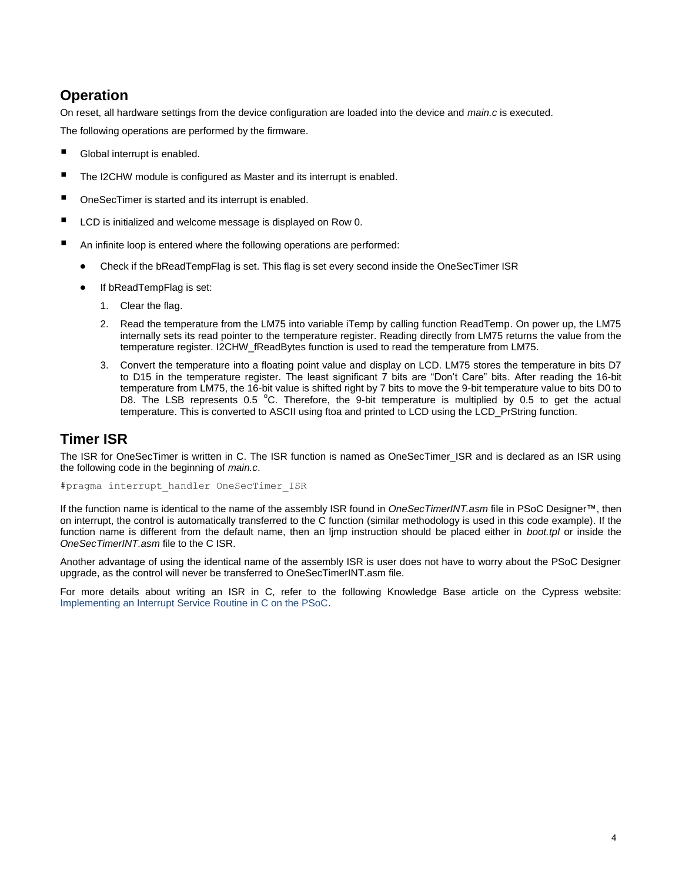# **Operation**

On reset, all hardware settings from the device configuration are loaded into the device and *main.c* is executed.

The following operations are performed by the firmware.

- Global interrupt is enabled.
- The I2CHW module is configured as Master and its interrupt is enabled.
- OneSecTimer is started and its interrupt is enabled.
- LCD is initialized and welcome message is displayed on Row 0.
- An infinite loop is entered where the following operations are performed:
	- Check if the bReadTempFlag is set. This flag is set every second inside the OneSecTimer ISR
	- If bReadTempFlag is set:
		- 1. Clear the flag.
		- 2. Read the temperature from the LM75 into variable iTemp by calling function ReadTemp. On power up, the LM75 internally sets its read pointer to the temperature register. Reading directly from LM75 returns the value from the temperature register. I2CHW\_fReadBytes function is used to read the temperature from LM75.
		- 3. Convert the temperature into a floating point value and display on LCD. LM75 stores the temperature in bits D7 to D15 in the temperature register. The least significant 7 bits are "Don't Care" bits. After reading the 16-bit temperature from LM75, the 16-bit value is shifted right by 7 bits to move the 9-bit temperature value to bits D0 to D8. The LSB represents 0.5 °C. Therefore, the 9-bit temperature is multiplied by 0.5 to get the actual temperature. This is converted to ASCII using ftoa and printed to LCD using the LCD\_PrString function.

### **Timer ISR**

The ISR for OneSecTimer is written in C. The ISR function is named as OneSecTimer\_ISR and is declared as an ISR using the following code in the beginning of *main.c*.

#pragma interrupt\_handler OneSecTimer\_ISR

If the function name is identical to the name of the assembly ISR found in *OneSecTimerINT.asm* file in PSoC Designer™, then on interrupt, the control is automatically transferred to the C function (similar methodology is used in this code example). If the function name is different from the default name, then an ljmp instruction should be placed either in *boot.tpl* or inside the *OneSecTimerINT.asm* file to the C ISR.

Another advantage of using the identical name of the assembly ISR is user does not have to worry about the PSoC Designer upgrade, as the control will never be transferred to OneSecTimerINT.asm file.

For more details about writing an ISR in C, refer to the following Knowledge Base article on the Cypress website: [Implementing an Interrupt Service Routine in C on the PSoC.](http://www.cypress.com/?id=4&rID=36720)